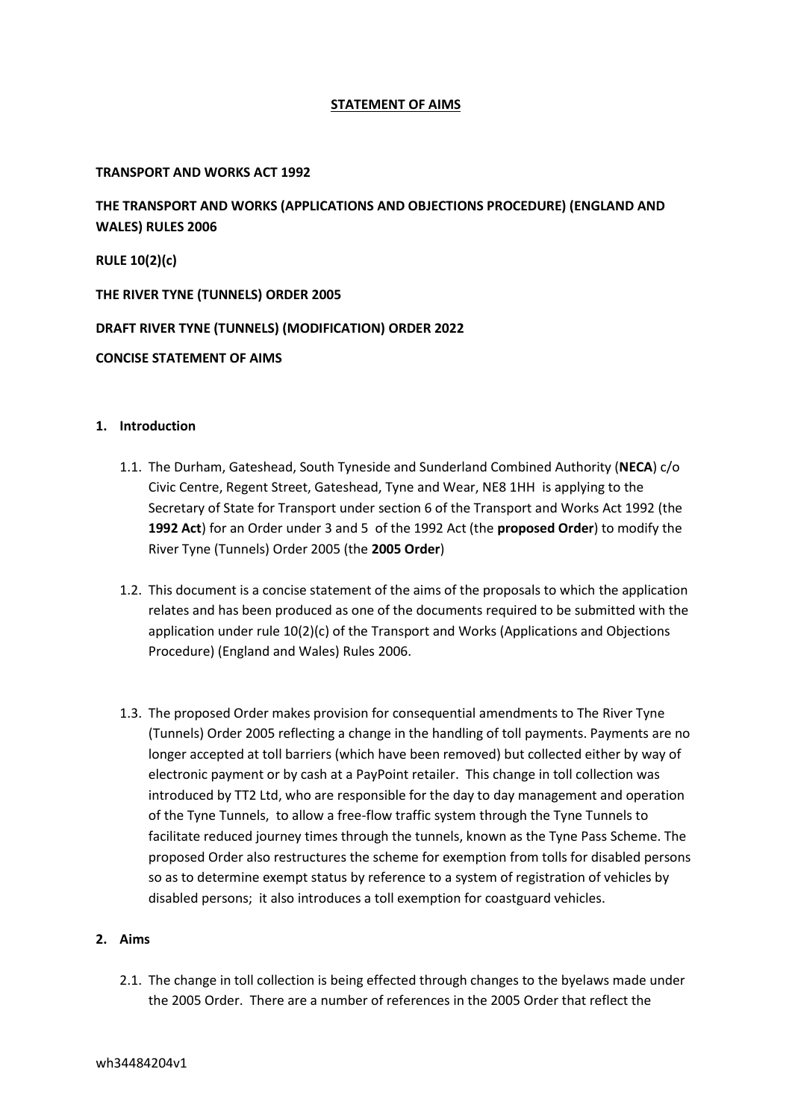## **STATEMENT OF AIMS**

### **TRANSPORT AND WORKS ACT 1992**

**THE TRANSPORT AND WORKS (APPLICATIONS AND OBJECTIONS PROCEDURE) (ENGLAND AND WALES) RULES 2006**

**RULE 10(2)(c)**

**THE RIVER TYNE (TUNNELS) ORDER 2005**

## **DRAFT RIVER TYNE (TUNNELS) (MODIFICATION) ORDER 2022**

### **CONCISE STATEMENT OF AIMS**

#### **1. Introduction**

- 1.1. The Durham, Gateshead, South Tyneside and Sunderland Combined Authority (**NECA**) c/o Civic Centre, Regent Street, Gateshead, Tyne and Wear, NE8 1HH is applying to the Secretary of State for Transport under section 6 of the Transport and Works Act 1992 (the **1992 Act**) for an Order under 3 and 5 of the 1992 Act (the **proposed Order**) to modify the River Tyne (Tunnels) Order 2005 (the **2005 Order**)
- 1.2. This document is a concise statement of the aims of the proposals to which the application relates and has been produced as one of the documents required to be submitted with the application under rule 10(2)(c) of the Transport and Works (Applications and Objections Procedure) (England and Wales) Rules 2006.
- 1.3. The proposed Order makes provision for consequential amendments to The River Tyne (Tunnels) Order 2005 reflecting a change in the handling of toll payments. Payments are no longer accepted at toll barriers (which have been removed) but collected either by way of electronic payment or by cash at a PayPoint retailer. This change in toll collection was introduced by TT2 Ltd, who are responsible for the day to day management and operation of the Tyne Tunnels, to allow a free-flow traffic system through the Tyne Tunnels to facilitate reduced journey times through the tunnels, known as the Tyne Pass Scheme. The proposed Order also restructures the scheme for exemption from tolls for disabled persons so as to determine exempt status by reference to a system of registration of vehicles by disabled persons; it also introduces a toll exemption for coastguard vehicles.

# **2. Aims**

2.1. The change in toll collection is being effected through changes to the byelaws made under the 2005 Order. There are a number of references in the 2005 Order that reflect the